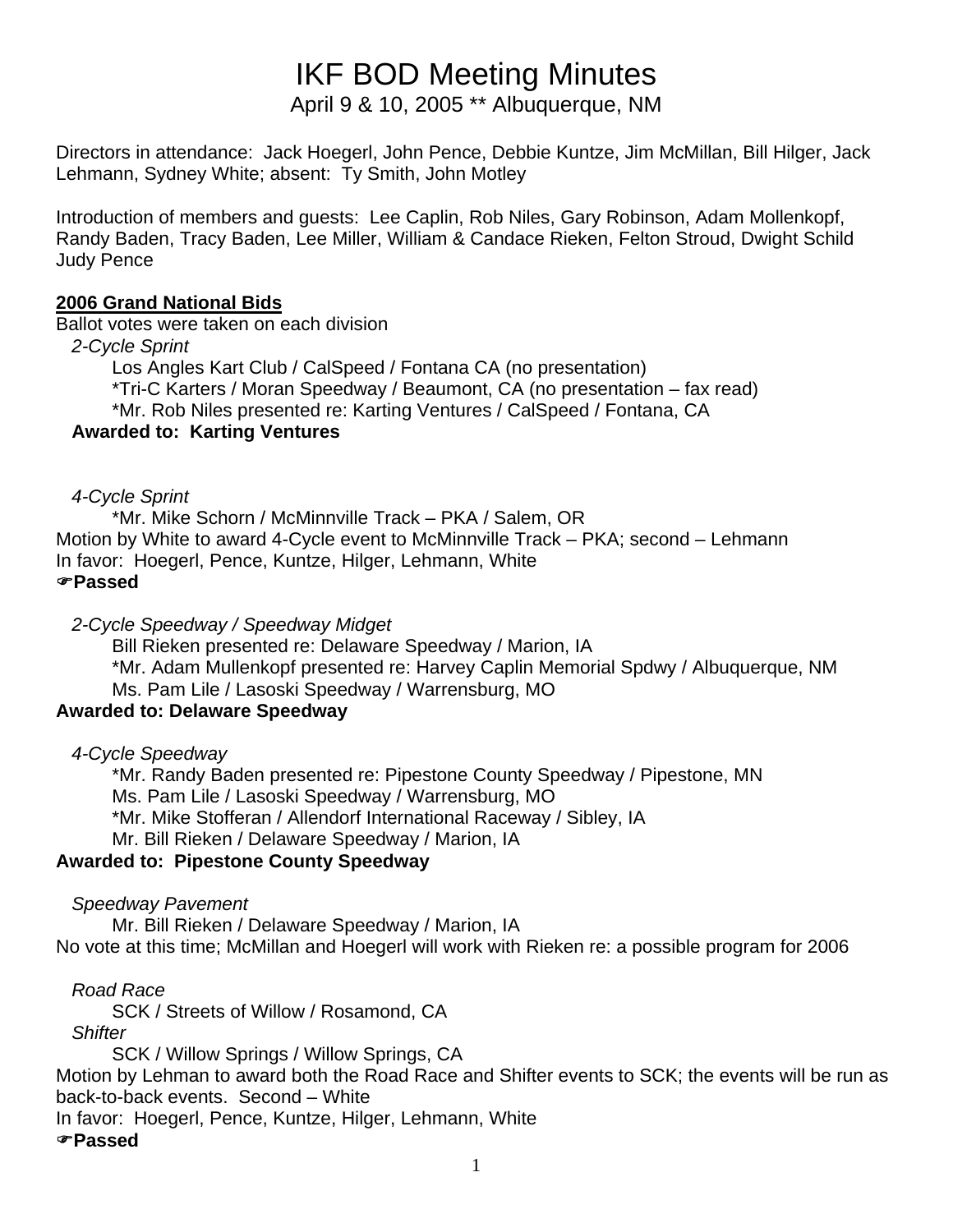# IKF BOD Meeting Minutes

April 9 & 10, 2005 \*\* Albuquerque, NM

Directors in attendance: Jack Hoegerl, John Pence, Debbie Kuntze, Jim McMillan, Bill Hilger, Jack Lehmann, Sydney White; absent: Ty Smith, John Motley

Introduction of members and guests: Lee Caplin, Rob Niles, Gary Robinson, Adam Mollenkopf, Randy Baden, Tracy Baden, Lee Miller, William & Candace Rieken, Felton Stroud, Dwight Schild Judy Pence

## **2006 Grand National Bids**

Ballot votes were taken on each division

 *2-Cycle Sprint* 

Los Angles Kart Club / CalSpeed / Fontana CA (no presentation)

\*Tri-C Karters / Moran Speedway / Beaumont, CA (no presentation – fax read)

\*Mr. Rob Niles presented re: Karting Ventures / CalSpeed / Fontana, CA

## **Awarded to: Karting Ventures**

## *4-Cycle Sprint*

 \*Mr. Mike Schorn / McMinnville Track – PKA / Salem, OR Motion by White to award 4-Cycle event to McMinnville Track – PKA; second – Lehmann In favor: Hoegerl, Pence, Kuntze, Hilger, Lehmann, White )**Passed** 

## *2-Cycle Speedway / Speedway Midget*

 Bill Rieken presented re: Delaware Speedway / Marion, IA \*Mr. Adam Mullenkopf presented re: Harvey Caplin Memorial Spdwy / Albuquerque, NM Ms. Pam Lile / Lasoski Speedway / Warrensburg, MO

# **Awarded to: Delaware Speedway**

 *4-Cycle Speedway* 

 \*Mr. Randy Baden presented re: Pipestone County Speedway / Pipestone, MN Ms. Pam Lile / Lasoski Speedway / Warrensburg, MO \*Mr. Mike Stofferan / Allendorf International Raceway / Sibley, IA Mr. Bill Rieken / Delaware Speedway / Marion, IA

# **Awarded to: Pipestone County Speedway**

 *Speedway Pavement* 

Mr. Bill Rieken / Delaware Speedway / Marion, IA

No vote at this time; McMillan and Hoegerl will work with Rieken re: a possible program for 2006

# *Road Race*

SCK / Streets of Willow / Rosamond, CA

 *Shifter* 

SCK / Willow Springs / Willow Springs, CA

Motion by Lehman to award both the Road Race and Shifter events to SCK; the events will be run as back-to-back events. Second – White

In favor: Hoegerl, Pence, Kuntze, Hilger, Lehmann, White

)**Passed**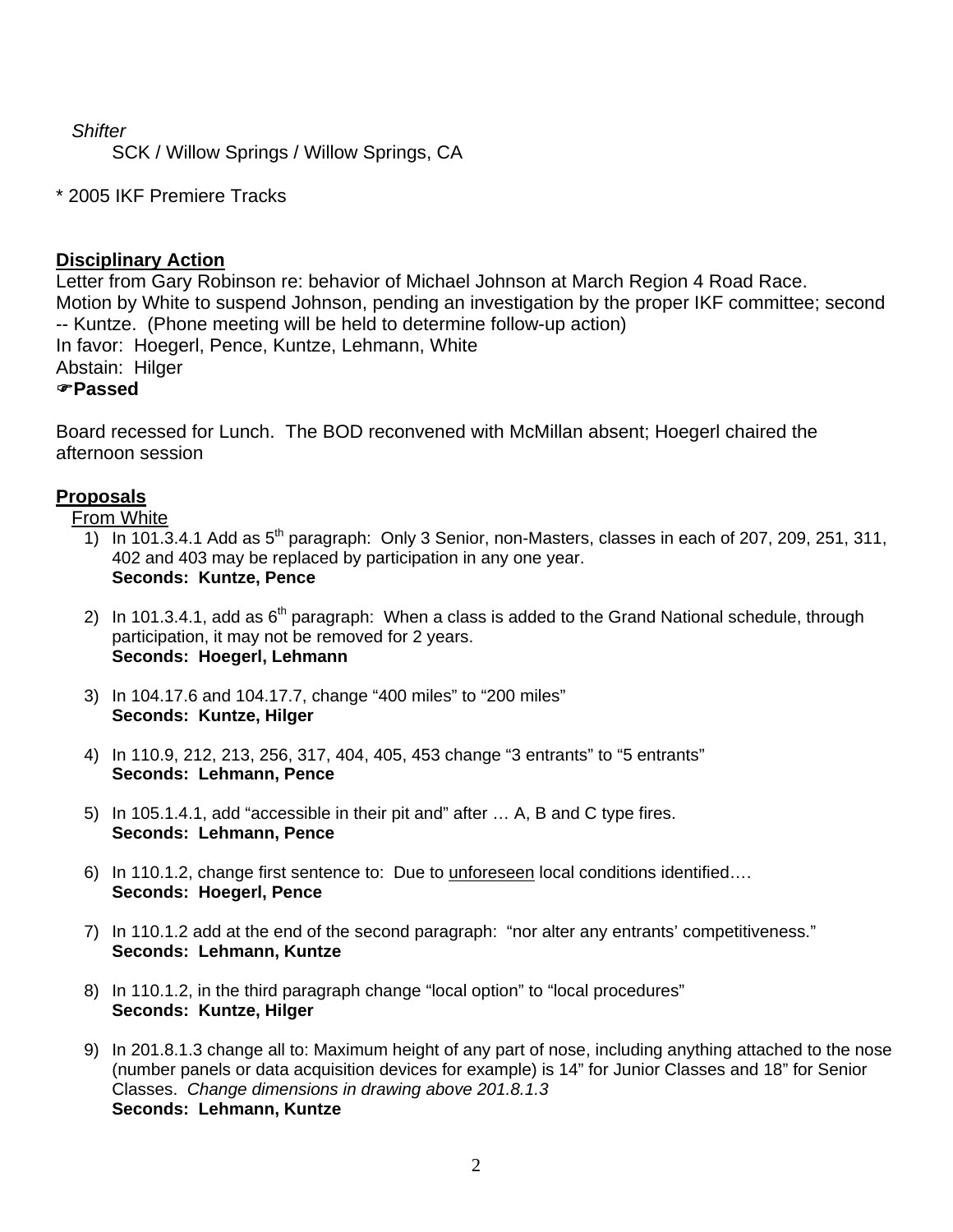## *Shifter*

SCK / Willow Springs / Willow Springs, CA

## \* 2005 IKF Premiere Tracks

## **Disciplinary Action**

Letter from Gary Robinson re: behavior of Michael Johnson at March Region 4 Road Race. Motion by White to suspend Johnson, pending an investigation by the proper IKF committee; second -- Kuntze. (Phone meeting will be held to determine follow-up action) In favor: Hoegerl, Pence, Kuntze, Lehmann, White Abstain: Hilger )**Passed**

Board recessed for Lunch. The BOD reconvened with McMillan absent; Hoegerl chaired the afternoon session

## **Proposals**

From White

- 1) In 101.3.4.1 Add as  $5<sup>th</sup>$  paragraph: Only 3 Senior, non-Masters, classes in each of 207, 209, 251, 311, 402 and 403 may be replaced by participation in any one year. **Seconds: Kuntze, Pence**
- 2) In 101.3.4.1, add as  $6<sup>th</sup>$  paragraph: When a class is added to the Grand National schedule, through participation, it may not be removed for 2 years. **Seconds: Hoegerl, Lehmann**
- 3) In 104.17.6 and 104.17.7, change "400 miles" to "200 miles" **Seconds: Kuntze, Hilger**
- 4) In 110.9, 212, 213, 256, 317, 404, 405, 453 change "3 entrants" to "5 entrants" **Seconds: Lehmann, Pence**
- 5) In 105.1.4.1, add "accessible in their pit and" after … A, B and C type fires. **Seconds: Lehmann, Pence**
- 6) In 110.1.2, change first sentence to: Due to unforeseen local conditions identified…. **Seconds: Hoegerl, Pence**
- 7) In 110.1.2 add at the end of the second paragraph: "nor alter any entrants' competitiveness." **Seconds: Lehmann, Kuntze**
- 8) In 110.1.2, in the third paragraph change "local option" to "local procedures" **Seconds: Kuntze, Hilger**
- 9) In 201.8.1.3 change all to: Maximum height of any part of nose, including anything attached to the nose (number panels or data acquisition devices for example) is 14" for Junior Classes and 18" for Senior Classes. *Change dimensions in drawing above 201.8.1.3* **Seconds: Lehmann, Kuntze**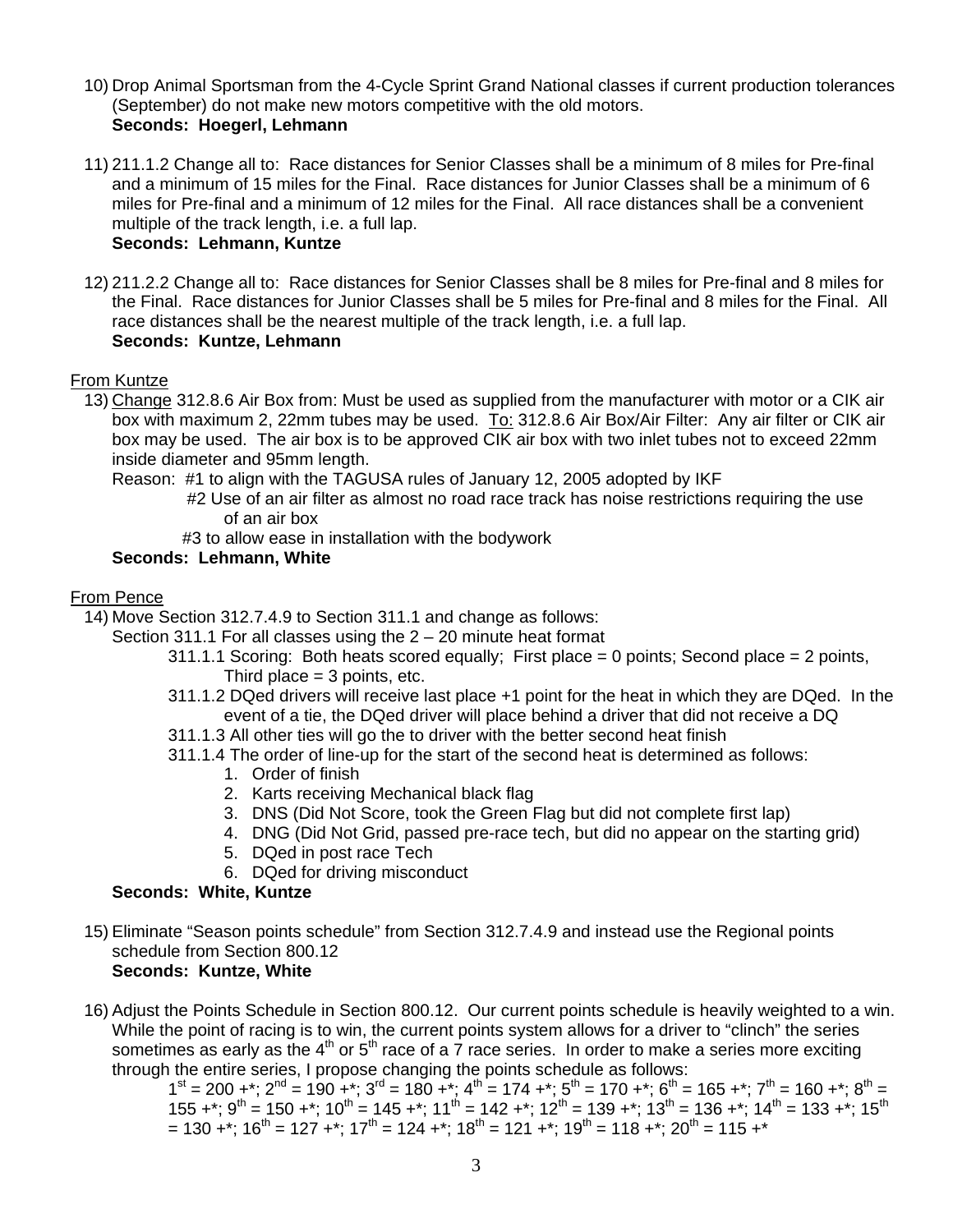- 10) Drop Animal Sportsman from the 4-Cycle Sprint Grand National classes if current production tolerances (September) do not make new motors competitive with the old motors. **Seconds: Hoegerl, Lehmann**
- 11) 211.1.2 Change all to: Race distances for Senior Classes shall be a minimum of 8 miles for Pre-final and a minimum of 15 miles for the Final. Race distances for Junior Classes shall be a minimum of 6 miles for Pre-final and a minimum of 12 miles for the Final. All race distances shall be a convenient multiple of the track length, i.e. a full lap.

#### **Seconds: Lehmann, Kuntze**

12) 211.2.2 Change all to: Race distances for Senior Classes shall be 8 miles for Pre-final and 8 miles for the Final. Race distances for Junior Classes shall be 5 miles for Pre-final and 8 miles for the Final. All race distances shall be the nearest multiple of the track length, i.e. a full lap. **Seconds: Kuntze, Lehmann** 

#### From Kuntze

- 13) Change 312.8.6 Air Box from: Must be used as supplied from the manufacturer with motor or a CIK air box with maximum 2, 22mm tubes may be used. To: 312.8.6 Air Box/Air Filter: Any air filter or CIK air box may be used. The air box is to be approved CIK air box with two inlet tubes not to exceed 22mm inside diameter and 95mm length.
	- Reason: #1 to align with the TAGUSA rules of January 12, 2005 adopted by IKF
		- #2 Use of an air filter as almost no road race track has noise restrictions requiring the use of an air box
		- #3 to allow ease in installation with the bodywork

#### **Seconds: Lehmann, White**

#### From Pence

14) Move Section 312.7.4.9 to Section 311.1 and change as follows:

- Section 311.1 For all classes using the 2 20 minute heat format
	- 311.1.1 Scoring: Both heats scored equally; First place = 0 points; Second place = 2 points, Third place  $=$  3 points, etc.
	- 311.1.2 DQed drivers will receive last place +1 point for the heat in which they are DQed. In the event of a tie, the DQed driver will place behind a driver that did not receive a DQ
	- 311.1.3 All other ties will go the to driver with the better second heat finish
	- 311.1.4 The order of line-up for the start of the second heat is determined as follows:
		- 1. Order of finish
		- 2. Karts receiving Mechanical black flag
		- 3. DNS (Did Not Score, took the Green Flag but did not complete first lap)
		- 4. DNG (Did Not Grid, passed pre-race tech, but did no appear on the starting grid)
		- 5. DQed in post race Tech
		- 6. DQed for driving misconduct

#### **Seconds: White, Kuntze**

- 15) Eliminate "Season points schedule" from Section 312.7.4.9 and instead use the Regional points schedule from Section 800.12 **Seconds: Kuntze, White**
- 16) Adjust the Points Schedule in Section 800.12. Our current points schedule is heavily weighted to a win. While the point of racing is to win, the current points system allows for a driver to "clinch" the series sometimes as early as the  $4<sup>th</sup>$  or  $5<sup>th</sup>$  race of a 7 race series. In order to make a series more exciting through the entire series, I propose changing the points schedule as follows:

 $1^{\text{st}} = 200 +$ \*;  $2^{\text{nd}} = 190 +$ \*;  $3^{\text{rd}} = 180 +$ \*;  $4^{\text{th}} = 174 +$ \*;  $5^{\text{th}} = 170 +$ \*;  $6^{\text{th}} = 165 +$ \*;  $7^{\text{th}} = 160 +$ \*;  $8^{\text{th}} =$ 155 +\*;  $9^{th}$  = 150 +\*; 10<sup>th</sup> = 145 +\*; 11<sup>th</sup> = 142 +\*; 12<sup>th</sup> = 139 +\*; 13<sup>th</sup> = 136 +\*; 14<sup>th</sup> = 133 +\*; 15<sup>th</sup>  $= 130 +$ <sup>\*</sup>;  $16$ <sup>th</sup> = 127 +<sup>\*</sup>;  $17$ <sup>th</sup> = 124 +<sup>\*</sup>;  $18$ <sup>th</sup> = 121 +<sup>\*</sup>;  $19$ <sup>th</sup> = 118 +<sup>\*</sup>;  $20$ <sup>th</sup> = 115 +<sup>\*</sup>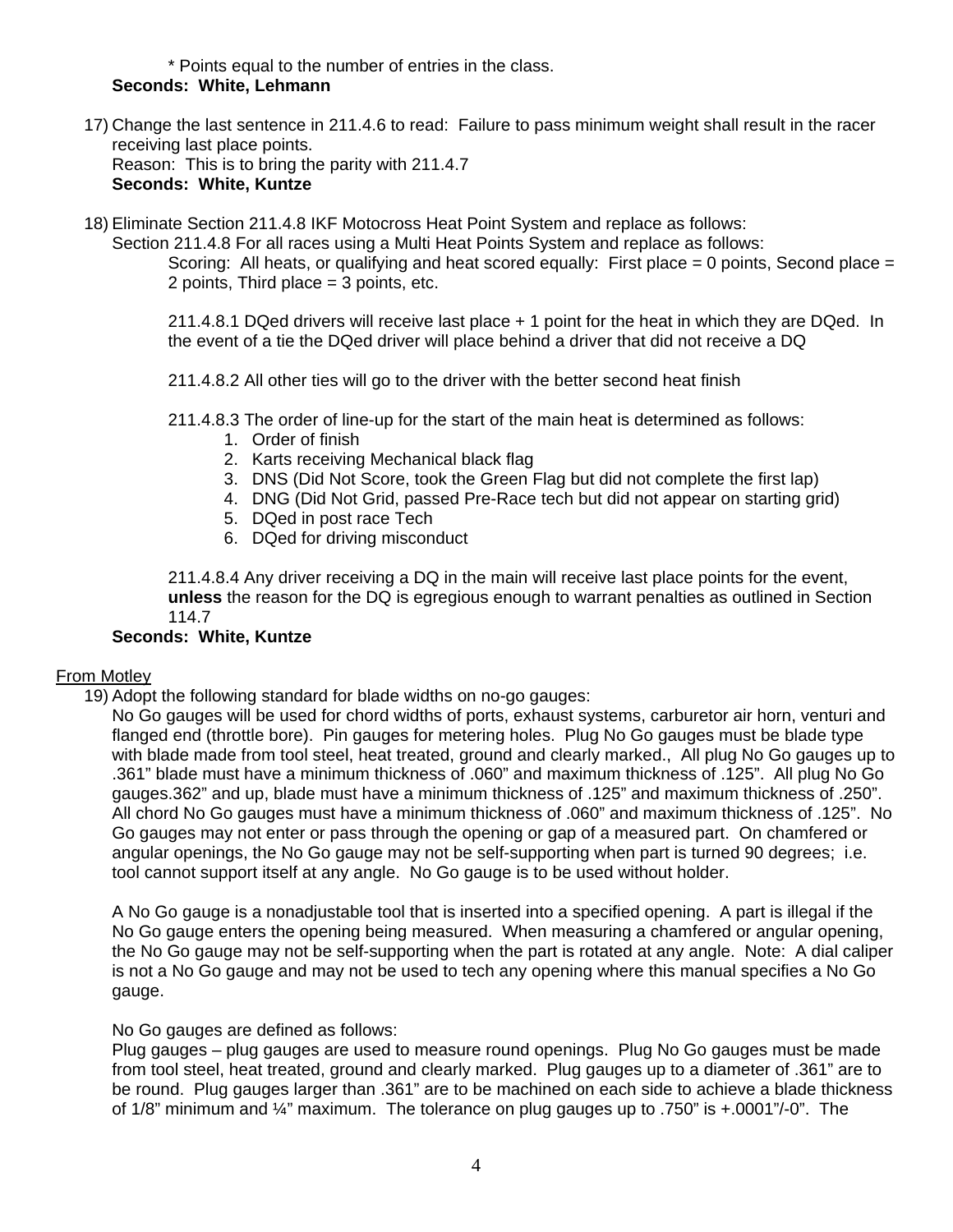\* Points equal to the number of entries in the class. **Seconds: White, Lehmann**

- 17) Change the last sentence in 211.4.6 to read: Failure to pass minimum weight shall result in the racer receiving last place points. Reason: This is to bring the parity with 211.4.7 **Seconds: White, Kuntze**
- 18) Eliminate Section 211.4.8 IKF Motocross Heat Point System and replace as follows:

Section 211.4.8 For all races using a Multi Heat Points System and replace as follows: Scoring: All heats, or qualifying and heat scored equally: First place  $= 0$  points, Second place  $=$ 

2 points, Third place = 3 points, etc.

 211.4.8.1 DQed drivers will receive last place + 1 point for the heat in which they are DQed. In the event of a tie the DQed driver will place behind a driver that did not receive a DQ

211.4.8.2 All other ties will go to the driver with the better second heat finish

- 211.4.8.3 The order of line-up for the start of the main heat is determined as follows:
	- 1. Order of finish
	- 2. Karts receiving Mechanical black flag
	- 3. DNS (Did Not Score, took the Green Flag but did not complete the first lap)
	- 4. DNG (Did Not Grid, passed Pre-Race tech but did not appear on starting grid)
	- 5. DQed in post race Tech
	- 6. DQed for driving misconduct

211.4.8.4 Any driver receiving a DQ in the main will receive last place points for the event, **unless** the reason for the DQ is egregious enough to warrant penalties as outlined in Section 114.7

#### **Seconds: White, Kuntze**

#### From Motley

19) Adopt the following standard for blade widths on no-go gauges:

No Go gauges will be used for chord widths of ports, exhaust systems, carburetor air horn, venturi and flanged end (throttle bore). Pin gauges for metering holes. Plug No Go gauges must be blade type with blade made from tool steel, heat treated, ground and clearly marked., All plug No Go gauges up to .361" blade must have a minimum thickness of .060" and maximum thickness of .125". All plug No Go gauges.362" and up, blade must have a minimum thickness of .125" and maximum thickness of .250". All chord No Go gauges must have a minimum thickness of .060" and maximum thickness of .125". No Go gauges may not enter or pass through the opening or gap of a measured part. On chamfered or angular openings, the No Go gauge may not be self-supporting when part is turned 90 degrees; i.e. tool cannot support itself at any angle. No Go gauge is to be used without holder.

A No Go gauge is a nonadjustable tool that is inserted into a specified opening. A part is illegal if the No Go gauge enters the opening being measured. When measuring a chamfered or angular opening, the No Go gauge may not be self-supporting when the part is rotated at any angle. Note: A dial caliper is not a No Go gauge and may not be used to tech any opening where this manual specifies a No Go gauge.

#### No Go gauges are defined as follows:

Plug gauges – plug gauges are used to measure round openings. Plug No Go gauges must be made from tool steel, heat treated, ground and clearly marked. Plug gauges up to a diameter of .361" are to be round. Plug gauges larger than .361" are to be machined on each side to achieve a blade thickness of  $1/8$ " minimum and  $\frac{1}{4}$ " maximum. The tolerance on plug gauges up to .750" is  $\pm$ .0001"/-0". The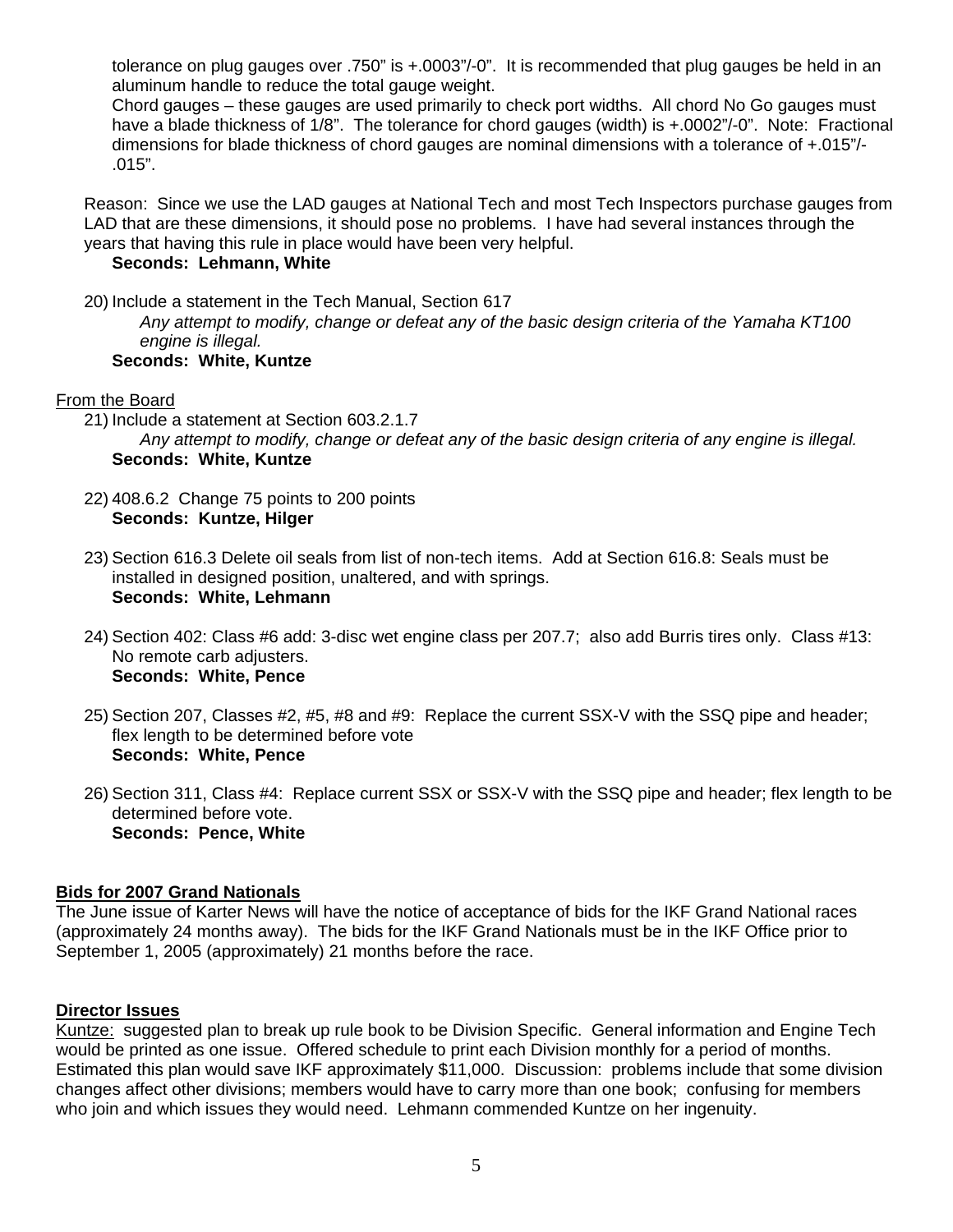tolerance on plug gauges over .750" is +.0003"/-0". It is recommended that plug gauges be held in an aluminum handle to reduce the total gauge weight.

Chord gauges – these gauges are used primarily to check port widths. All chord No Go gauges must have a blade thickness of 1/8". The tolerance for chord gauges (width) is +.0002"/-0". Note: Fractional dimensions for blade thickness of chord gauges are nominal dimensions with a tolerance of +.015"/- .015".

Reason: Since we use the LAD gauges at National Tech and most Tech Inspectors purchase gauges from LAD that are these dimensions, it should pose no problems. I have had several instances through the years that having this rule in place would have been very helpful.

#### **Seconds: Lehmann, White**

20) Include a statement in the Tech Manual, Section 617 *Any attempt to modify, change or defeat any of the basic design criteria of the Yamaha KT100 engine is illegal.* **Seconds: White, Kuntze** 

#### From the Board

- 21) Include a statement at Section 603.2.1.7 *Any attempt to modify, change or defeat any of the basic design criteria of any engine is illegal.*  **Seconds: White, Kuntze**
- 22) 408.6.2 Change 75 points to 200 points **Seconds: Kuntze, Hilger**
- 23) Section 616.3 Delete oil seals from list of non-tech items. Add at Section 616.8: Seals must be installed in designed position, unaltered, and with springs. **Seconds: White, Lehmann**
- 24) Section 402: Class #6 add: 3-disc wet engine class per 207.7; also add Burris tires only. Class #13: No remote carb adjusters. **Seconds: White, Pence**
- 25) Section 207, Classes #2, #5, #8 and #9: Replace the current SSX-V with the SSQ pipe and header; flex length to be determined before vote **Seconds: White, Pence**
- 26) Section 311, Class #4: Replace current SSX or SSX-V with the SSQ pipe and header; flex length to be determined before vote. **Seconds: Pence, White**

#### **Bids for 2007 Grand Nationals**

The June issue of Karter News will have the notice of acceptance of bids for the IKF Grand National races (approximately 24 months away). The bids for the IKF Grand Nationals must be in the IKF Office prior to September 1, 2005 (approximately) 21 months before the race.

#### **Director Issues**

Kuntze: suggested plan to break up rule book to be Division Specific. General information and Engine Tech would be printed as one issue. Offered schedule to print each Division monthly for a period of months. Estimated this plan would save IKF approximately \$11,000. Discussion: problems include that some division changes affect other divisions; members would have to carry more than one book; confusing for members who join and which issues they would need. Lehmann commended Kuntze on her ingenuity.